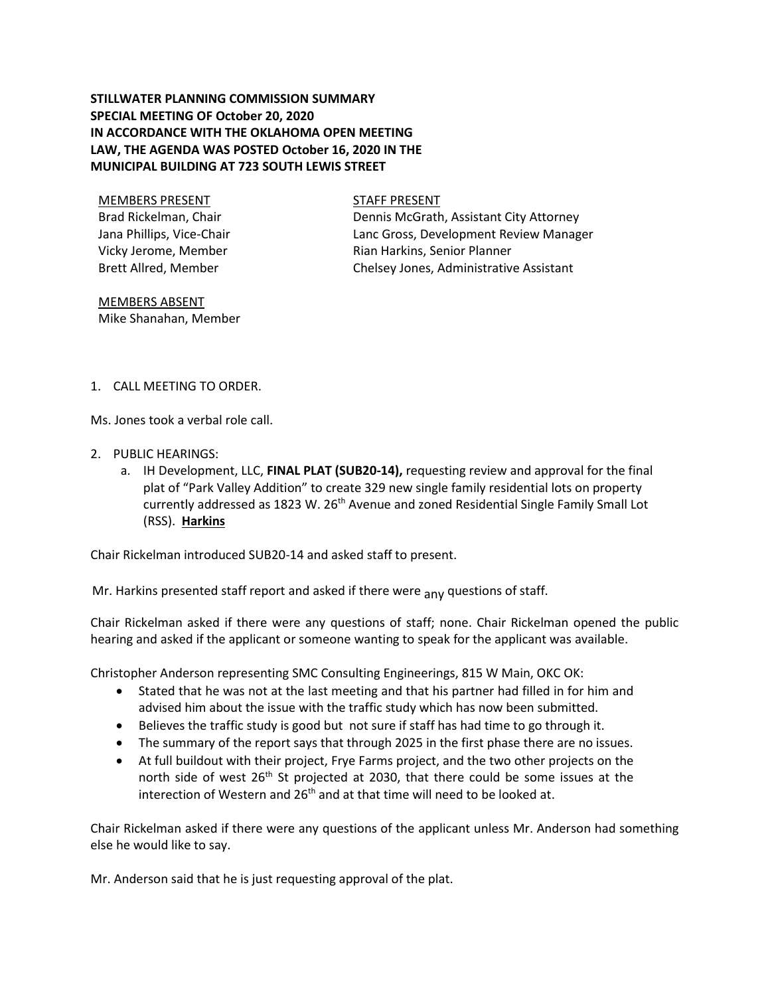## **STILLWATER PLANNING COMMISSION SUMMARY SPECIAL MEETING OF October 20, 2020 IN ACCORDANCE WITH THE OKLAHOMA OPEN MEETING LAW, THE AGENDA WAS POSTED October 16, 2020 IN THE MUNICIPAL BUILDING AT 723 SOUTH LEWIS STREET**

MEMBERS PRESENT STAFF PRESENT Brad Rickelman, Chair Jana Phillips, Vice-Chair Vicky Jerome, Member Brett Allred, Member

Dennis McGrath, Assistant City Attorney Lanc Gross, Development Review Manager

Rian Harkins, Senior Planner Chelsey Jones, Administrative Assistant

MEMBERS ABSENT Mike Shanahan, Member

1. CALL MEETING TO ORDER.

Ms. Jones took a verbal role call.

- 2. PUBLIC HEARINGS:
	- a. IH Development, LLC, **FINAL PLAT (SUB20-14),** requesting review and approval for the final plat of "Park Valley Addition" to create 329 new single family residential lots on property currently addressed as 1823 W. 26<sup>th</sup> Avenue and zoned Residential Single Family Small Lot (RSS). **Harkins**

Chair Rickelman introduced SUB20-14 and asked staff to present.

Mr. Harkins presented staff report and asked if there were <sub>any</sub> questions of staff.

Chair Rickelman asked if there were any questions of staff; none. Chair Rickelman opened the public hearing and asked if the applicant or someone wanting to speak for the applicant was available.

Christopher Anderson representing SMC Consulting Engineerings, 815 W Main, OKC OK:

- Stated that he was not at the last meeting and that his partner had filled in for him and advised him about the issue with the traffic study which has now been submitted.
- Believes the traffic study is good but not sure if staff has had time to go through it.
- The summary of the report says that through 2025 in the first phase there are no issues.
- At full buildout with their project, Frye Farms project, and the two other projects on the north side of west  $26<sup>th</sup>$  St projected at 2030, that there could be some issues at the interection of Western and  $26<sup>th</sup>$  and at that time will need to be looked at.

Chair Rickelman asked if there were any questions of the applicant unless Mr. Anderson had something else he would like to say.

Mr. Anderson said that he is just requesting approval of the plat.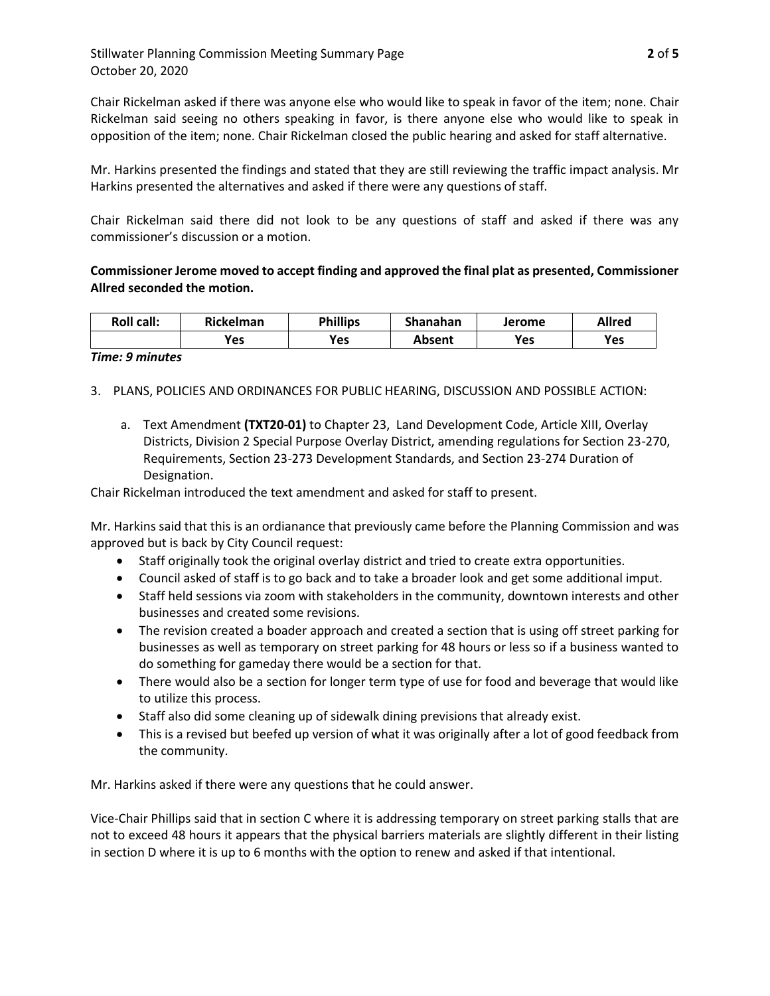Chair Rickelman asked if there was anyone else who would like to speak in favor of the item; none. Chair Rickelman said seeing no others speaking in favor, is there anyone else who would like to speak in opposition of the item; none. Chair Rickelman closed the public hearing and asked for staff alternative.

Mr. Harkins presented the findings and stated that they are still reviewing the traffic impact analysis. Mr Harkins presented the alternatives and asked if there were any questions of staff.

Chair Rickelman said there did not look to be any questions of staff and asked if there was any commissioner's discussion or a motion.

## **Commissioner Jerome moved to accept finding and approved the final plat as presented, Commissioner Allred seconded the motion.**

| <b>Roll call:</b> | Rickelman | <b>Phillips</b> | Shanahan | Jerome | <b>Allred</b> |
|-------------------|-----------|-----------------|----------|--------|---------------|
|                   | Yes       | Yes             | Absent   | Yes    | Yes           |

## *Time: 9 minutes*

- 3. PLANS, POLICIES AND ORDINANCES FOR PUBLIC HEARING, DISCUSSION AND POSSIBLE ACTION:
	- a. Text Amendment **(TXT20-01)** to Chapter 23, Land Development Code, Article XIII, Overlay Districts, Division 2 Special Purpose Overlay District, amending regulations for Section 23-270, Requirements, Section 23-273 Development Standards, and Section 23-274 Duration of Designation.

Chair Rickelman introduced the text amendment and asked for staff to present.

Mr. Harkins said that this is an ordianance that previously came before the Planning Commission and was approved but is back by City Council request:

- Staff originally took the original overlay district and tried to create extra opportunities.
- Council asked of staff is to go back and to take a broader look and get some additional imput.
- Staff held sessions via zoom with stakeholders in the community, downtown interests and other businesses and created some revisions.
- The revision created a boader approach and created a section that is using off street parking for businesses as well as temporary on street parking for 48 hours or less so if a business wanted to do something for gameday there would be a section for that.
- There would also be a section for longer term type of use for food and beverage that would like to utilize this process.
- Staff also did some cleaning up of sidewalk dining previsions that already exist.
- This is a revised but beefed up version of what it was originally after a lot of good feedback from the community.

Mr. Harkins asked if there were any questions that he could answer.

Vice-Chair Phillips said that in section C where it is addressing temporary on street parking stalls that are not to exceed 48 hours it appears that the physical barriers materials are slightly different in their listing in section D where it is up to 6 months with the option to renew and asked if that intentional.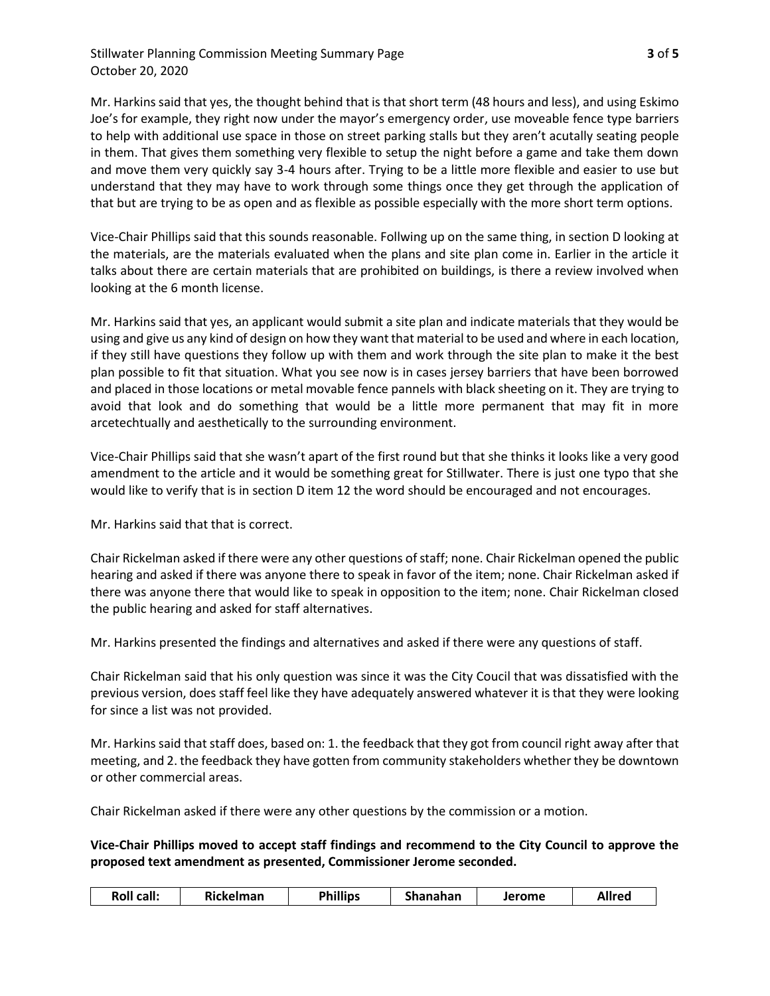Stillwater Planning Commission Meeting Summary Page **3** of **5** October 20, 2020

Mr. Harkins said that yes, the thought behind that is that short term (48 hours and less), and using Eskimo Joe's for example, they right now under the mayor's emergency order, use moveable fence type barriers to help with additional use space in those on street parking stalls but they aren't acutally seating people in them. That gives them something very flexible to setup the night before a game and take them down and move them very quickly say 3-4 hours after. Trying to be a little more flexible and easier to use but understand that they may have to work through some things once they get through the application of that but are trying to be as open and as flexible as possible especially with the more short term options.

Vice-Chair Phillips said that this sounds reasonable. Follwing up on the same thing, in section D looking at the materials, are the materials evaluated when the plans and site plan come in. Earlier in the article it talks about there are certain materials that are prohibited on buildings, is there a review involved when looking at the 6 month license.

Mr. Harkins said that yes, an applicant would submit a site plan and indicate materials that they would be using and give us any kind of design on how they want that material to be used and where in each location, if they still have questions they follow up with them and work through the site plan to make it the best plan possible to fit that situation. What you see now is in cases jersey barriers that have been borrowed and placed in those locations or metal movable fence pannels with black sheeting on it. They are trying to avoid that look and do something that would be a little more permanent that may fit in more arcetechtually and aesthetically to the surrounding environment.

Vice-Chair Phillips said that she wasn't apart of the first round but that she thinks it looks like a very good amendment to the article and it would be something great for Stillwater. There is just one typo that she would like to verify that is in section D item 12 the word should be encouraged and not encourages.

Mr. Harkins said that that is correct.

Chair Rickelman asked if there were any other questions of staff; none. Chair Rickelman opened the public hearing and asked if there was anyone there to speak in favor of the item; none. Chair Rickelman asked if there was anyone there that would like to speak in opposition to the item; none. Chair Rickelman closed the public hearing and asked for staff alternatives.

Mr. Harkins presented the findings and alternatives and asked if there were any questions of staff.

Chair Rickelman said that his only question was since it was the City Coucil that was dissatisfied with the previous version, does staff feel like they have adequately answered whatever it is that they were looking for since a list was not provided.

Mr. Harkins said that staff does, based on: 1. the feedback that they got from council right away after that meeting, and 2. the feedback they have gotten from community stakeholders whether they be downtown or other commercial areas.

Chair Rickelman asked if there were any other questions by the commission or a motion.

**Vice-Chair Phillips moved to accept staff findings and recommend to the City Council to approve the proposed text amendment as presented, Commissioner Jerome seconded.** 

| <b>Phillips</b><br><b>Roll call:</b><br>Rickelman<br><b>Shanahan</b><br><b>Allrec</b><br>Jerome |
|-------------------------------------------------------------------------------------------------|
|-------------------------------------------------------------------------------------------------|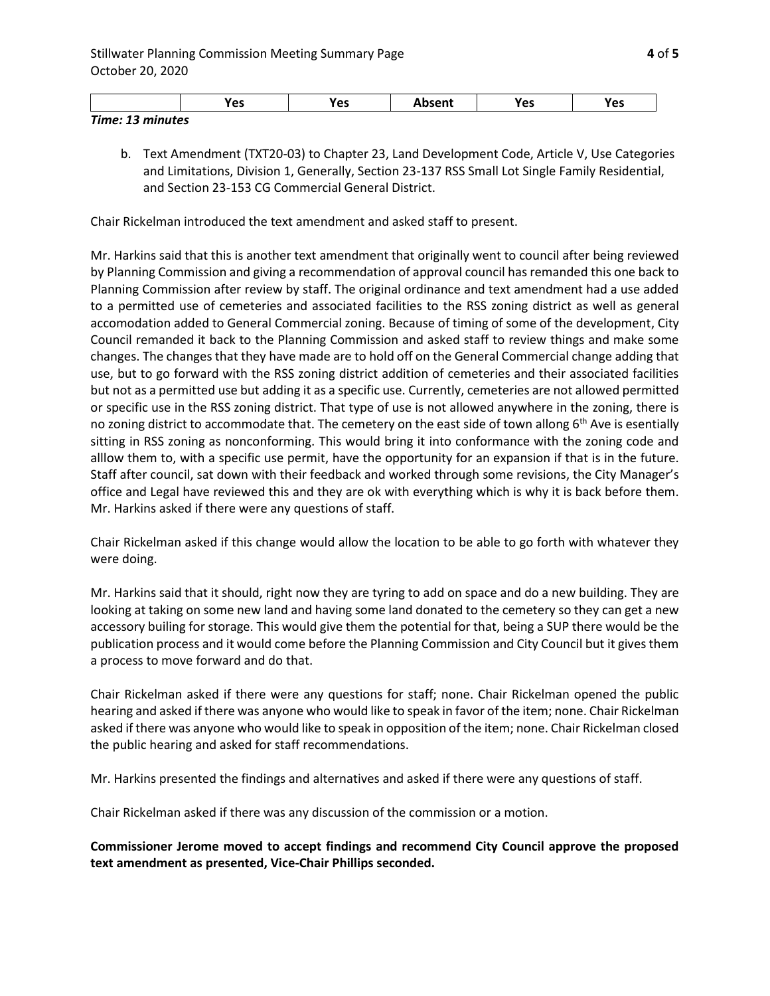|                                                        | .,<br>ہ ہ<br>c | נ כ | $\sim$ $\sim$ $\sim$ $\sim$ | . .<br>Vpc<br>ີ | . .<br>Улс<br>. כש |
|--------------------------------------------------------|----------------|-----|-----------------------------|-----------------|--------------------|
| Timo:<br>- -<br>minutac<br><i>HIIIC. 13 HIIIIUL</i> C3 |                |     |                             |                 |                    |

b. Text Amendment (TXT20-03) to Chapter 23, Land Development Code, Article V, Use Categories and Limitations, Division 1, Generally, Section 23-137 RSS Small Lot Single Family Residential, and Section 23-153 CG Commercial General District.

Chair Rickelman introduced the text amendment and asked staff to present.

Mr. Harkins said that this is another text amendment that originally went to council after being reviewed by Planning Commission and giving a recommendation of approval council has remanded this one back to Planning Commission after review by staff. The original ordinance and text amendment had a use added to a permitted use of cemeteries and associated facilities to the RSS zoning district as well as general accomodation added to General Commercial zoning. Because of timing of some of the development, City Council remanded it back to the Planning Commission and asked staff to review things and make some changes. The changes that they have made are to hold off on the General Commercial change adding that use, but to go forward with the RSS zoning district addition of cemeteries and their associated facilities but not as a permitted use but adding it as a specific use. Currently, cemeteries are not allowed permitted or specific use in the RSS zoning district. That type of use is not allowed anywhere in the zoning, there is no zoning district to accommodate that. The cemetery on the east side of town allong 6<sup>th</sup> Ave is esentially sitting in RSS zoning as nonconforming. This would bring it into conformance with the zoning code and alllow them to, with a specific use permit, have the opportunity for an expansion if that is in the future. Staff after council, sat down with their feedback and worked through some revisions, the City Manager's office and Legal have reviewed this and they are ok with everything which is why it is back before them. Mr. Harkins asked if there were any questions of staff.

Chair Rickelman asked if this change would allow the location to be able to go forth with whatever they were doing.

Mr. Harkins said that it should, right now they are tyring to add on space and do a new building. They are looking at taking on some new land and having some land donated to the cemetery so they can get a new accessory builing for storage. This would give them the potential for that, being a SUP there would be the publication process and it would come before the Planning Commission and City Council but it gives them a process to move forward and do that.

Chair Rickelman asked if there were any questions for staff; none. Chair Rickelman opened the public hearing and asked if there was anyone who would like to speak in favor of the item; none. Chair Rickelman asked if there was anyone who would like to speak in opposition of the item; none. Chair Rickelman closed the public hearing and asked for staff recommendations.

Mr. Harkins presented the findings and alternatives and asked if there were any questions of staff.

Chair Rickelman asked if there was any discussion of the commission or a motion.

**Commissioner Jerome moved to accept findings and recommend City Council approve the proposed text amendment as presented, Vice-Chair Phillips seconded.**